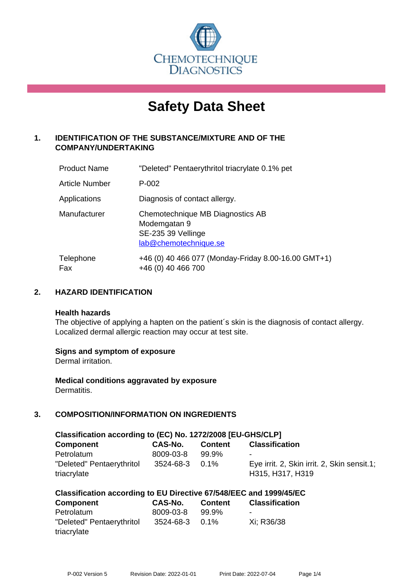

# **Safety Data Sheet**

# **1. IDENTIFICATION OF THE SUBSTANCE/MIXTURE AND OF THE COMPANY/UNDERTAKING**

| <b>Product Name</b>   | "Deleted" Pentaerythritol triacrylate 0.1% pet                                                  |
|-----------------------|-------------------------------------------------------------------------------------------------|
| <b>Article Number</b> | P-002                                                                                           |
| Applications          | Diagnosis of contact allergy.                                                                   |
| Manufacturer          | Chemotechnique MB Diagnostics AB<br>Modemgatan 9<br>SE-235 39 Vellinge<br>lab@chemotechnique.se |
| Telephone<br>Fax      | +46 (0) 40 466 077 (Monday-Friday 8.00-16.00 GMT+1)<br>+46 (0) 40 466 700                       |

## **2. HAZARD IDENTIFICATION**

#### **Health hazards**

The objective of applying a hapten on the patient's skin is the diagnosis of contact allergy. Localized dermal allergic reaction may occur at test site.

## **Signs and symptom of exposure**

Dermal irritation.

**Medical conditions aggravated by exposure** Dermatitis.

# **3. COMPOSITION/INFORMATION ON INGREDIENTS**

| Classification according to (EC) No. 1272/2008 [EU-GHS/CLP] |                |                |                                                                 |  |  |
|-------------------------------------------------------------|----------------|----------------|-----------------------------------------------------------------|--|--|
| <b>Component</b>                                            | CAS-No.        | <b>Content</b> | <b>Classification</b>                                           |  |  |
| Petrolatum                                                  | 8009-03-8      | 99.9%          | $\overline{\phantom{0}}$                                        |  |  |
| "Deleted" Pentaerythritol<br>triacrylate                    | 3524-68-3 0.1% |                | Eye irrit. 2, Skin irrit. 2, Skin sensit.1;<br>H315, H317, H319 |  |  |

| <b>Component</b>          | CAS-No.        | <b>Content</b> | <b>Classification</b> |
|---------------------------|----------------|----------------|-----------------------|
| Petrolatum                | 8009-03-8      | 99.9%          | $\blacksquare$        |
| "Deleted" Pentaerythritol | 3524-68-3 0.1% |                | Xi: R36/38            |
| triacrylate               |                |                |                       |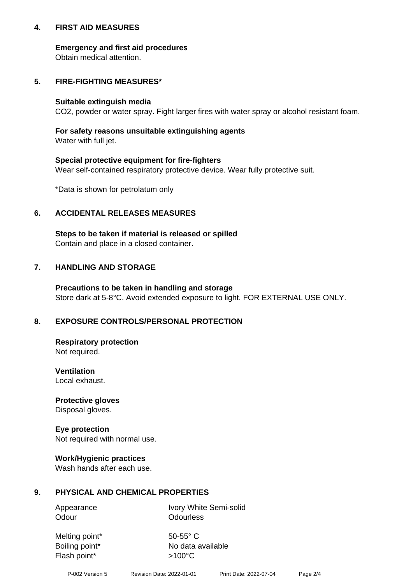## **4. FIRST AID MEASURES**

## **Emergency and first aid procedures**

Obtain medical attention.

# **5. FIRE-FIGHTING MEASURES\***

#### **Suitable extinguish media**

CO2, powder or water spray. Fight larger fires with water spray or alcohol resistant foam.

# **For safety reasons unsuitable extinguishing agents**

Water with full jet.

## **Special protective equipment for fire-fighters**

Wear self-contained respiratory protective device. Wear fully protective suit.

\*Data is shown for petrolatum only

## **6. ACCIDENTAL RELEASES MEASURES**

**Steps to be taken if material is released or spilled** Contain and place in a closed container.

# **7. HANDLING AND STORAGE**

**Precautions to be taken in handling and storage** Store dark at 5-8°C. Avoid extended exposure to light. FOR EXTERNAL USE ONLY.

# **8. EXPOSURE CONTROLS/PERSONAL PROTECTION**

**Respiratory protection** Not required.

**Ventilation** Local exhaust.

**Protective gloves** Disposal gloves.

#### **Eye protection** Not required with normal use.

## **Work/Hygienic practices**

Wash hands after each use.

## **9. PHYSICAL AND CHEMICAL PROPERTIES**

Odour **Odourless** 

Appearance Ivory White Semi-solid

Melting point\* 50-55° C Flash point\* >100°C

Boiling point\* No data available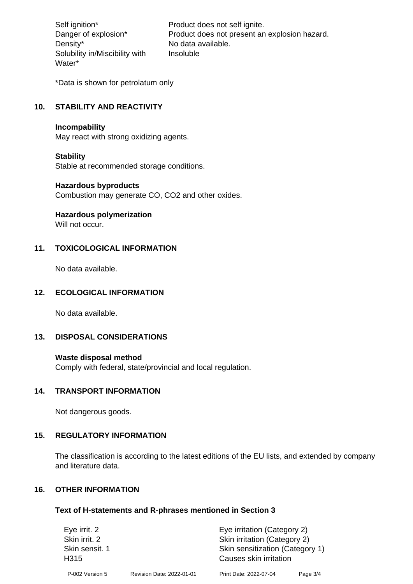Density\* No data available. Solubility in/Miscibility with Water\*

Self ignition\* Product does not self ignite. Danger of explosion\* Product does not present an explosion hazard. Insoluble

\*Data is shown for petrolatum only

# **10. STABILITY AND REACTIVITY**

#### **Incompability**

May react with strong oxidizing agents.

#### **Stability**

Stable at recommended storage conditions.

#### **Hazardous byproducts**

Combustion may generate CO, CO2 and other oxides.

**Hazardous polymerization**

Will not occur.

## **11. TOXICOLOGICAL INFORMATION**

No data available.

## **12. ECOLOGICAL INFORMATION**

No data available.

## **13. DISPOSAL CONSIDERATIONS**

#### **Waste disposal method**

Comply with federal, state/provincial and local regulation.

#### **14. TRANSPORT INFORMATION**

Not dangerous goods.

## **15. REGULATORY INFORMATION**

The classification is according to the latest editions of the EU lists, and extended by company and literature data.

#### **16. OTHER INFORMATION**

#### **Text of H-statements and R-phrases mentioned in Section 3**

| Eye irrit. 2                       |                           | Eye irritation (Category 2)                               |          |  |
|------------------------------------|---------------------------|-----------------------------------------------------------|----------|--|
| Skin irrit. 2                      |                           | Skin irritation (Category 2)                              |          |  |
| Skin sensit. 1<br>H <sub>315</sub> |                           | Skin sensitization (Category 1)<br>Causes skin irritation |          |  |
| P-002 Version 5                    | Revision Date: 2022-01-01 | Print Date: 2022-07-04                                    | Page 3/4 |  |